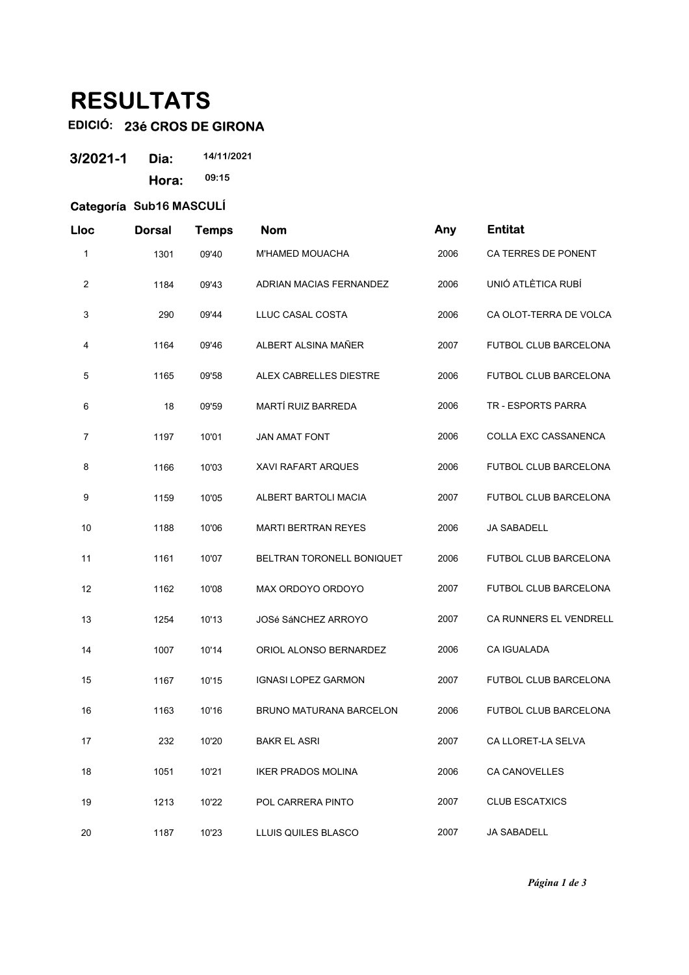## **RESULTATS**

## **EDICIÓ: 23é CROS DE GIRONA**

| 3/2021-1 | Dia:  | 14/11/2021 |
|----------|-------|------------|
|          | Hora: | 09:15      |

## **Categoría Sub16 MASCULÍ**

| Lloc           | <b>Dorsal</b> | <b>Temps</b> | <b>Nom</b>                     | Any  | <b>Entitat</b>               |
|----------------|---------------|--------------|--------------------------------|------|------------------------------|
| 1              | 1301          | 09'40        | M'HAMED MOUACHA                | 2006 | CA TERRES DE PONENT          |
| 2              | 1184          | 09'43        | ADRIAN MACIAS FERNANDEZ        | 2006 | UNIÓ ATLÈTICA RUBÍ           |
| 3              | 290           | 09'44        | LLUC CASAL COSTA               | 2006 | CA OLOT-TERRA DE VOLCA       |
| 4              | 1164          | 09'46        | ALBERT ALSINA MAÑER            | 2007 | <b>FUTBOL CLUB BARCELONA</b> |
| 5              | 1165          | 09'58        | ALEX CABRELLES DIESTRE         | 2006 | FUTBOL CLUB BARCELONA        |
| 6              | 18            | 09'59        | MARTÍ RUIZ BARREDA             | 2006 | TR - ESPORTS PARRA           |
| $\overline{7}$ | 1197          | 10'01        | <b>JAN AMAT FONT</b>           | 2006 | COLLA EXC CASSANENCA         |
| 8              | 1166          | 10'03        | <b>XAVI RAFART ARQUES</b>      | 2006 | <b>FUTBOL CLUB BARCELONA</b> |
| 9              | 1159          | 10'05        | ALBERT BARTOLI MACIA           | 2007 | <b>FUTBOL CLUB BARCELONA</b> |
| 10             | 1188          | 10'06        | <b>MARTI BERTRAN REYES</b>     | 2006 | <b>JA SABADELL</b>           |
| 11             | 1161          | 10'07        | BELTRAN TORONELL BONIQUET      | 2006 | FUTBOL CLUB BARCELONA        |
| 12             | 1162          | 10'08        | MAX ORDOYO ORDOYO              | 2007 | FUTBOL CLUB BARCELONA        |
| 13             | 1254          | 10'13        | <b>JOSé SÁNCHEZ ARROYO</b>     | 2007 | CA RUNNERS EL VENDRELL       |
| 14             | 1007          | 10'14        | ORIOL ALONSO BERNARDEZ         | 2006 | <b>CA IGUALADA</b>           |
| 15             | 1167          | 10'15        | <b>IGNASI LOPEZ GARMON</b>     | 2007 | FUTBOL CLUB BARCELONA        |
| 16             | 1163          | 10'16        | <b>BRUNO MATURANA BARCELON</b> | 2006 | FUTBOL CLUB BARCELONA        |
| 17             | 232           | 10'20        | <b>BAKR EL ASRI</b>            | 2007 | CA LLORET-LA SELVA           |
| 18             | 1051          | 10'21        | <b>IKER PRADOS MOLINA</b>      | 2006 | <b>CA CANOVELLES</b>         |
| 19             | 1213          | 10'22        | POL CARRERA PINTO              | 2007 | <b>CLUB ESCATXICS</b>        |
| 20             | 1187          | 10'23        | LLUIS QUILES BLASCO            | 2007 | <b>JA SABADELL</b>           |

*Página 1 de 3*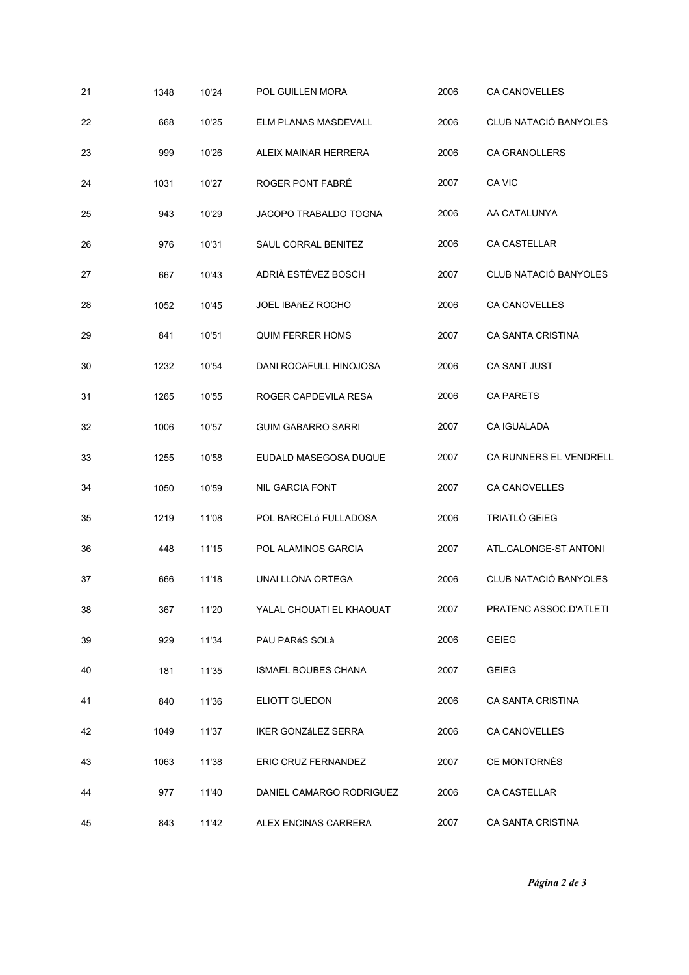| 21 | 1348 | 10'24 | POL GUILLEN MORA           | 2006 | <b>CA CANOVELLES</b>   |
|----|------|-------|----------------------------|------|------------------------|
| 22 | 668  | 10'25 | ELM PLANAS MASDEVALL       | 2006 | CLUB NATACIÓ BANYOLES  |
| 23 | 999  | 10'26 | ALEIX MAINAR HERRERA       | 2006 | <b>CA GRANOLLERS</b>   |
| 24 | 1031 | 10'27 | ROGER PONT FABRÉ           | 2007 | CA VIC                 |
| 25 | 943  | 10'29 | JACOPO TRABALDO TOGNA      | 2006 | AA CATALUNYA           |
| 26 | 976  | 10'31 | SAUL CORRAL BENITEZ        | 2006 | CA CASTELLAR           |
| 27 | 667  | 10'43 | ADRIÀ ESTÉVEZ BOSCH        | 2007 | CLUB NATACIÓ BANYOLES  |
| 28 | 1052 | 10'45 | <b>JOEL IBAñEZ ROCHO</b>   | 2006 | <b>CA CANOVELLES</b>   |
| 29 | 841  | 10'51 | <b>QUIM FERRER HOMS</b>    | 2007 | CA SANTA CRISTINA      |
| 30 | 1232 | 10'54 | DANI ROCAFULL HINOJOSA     | 2006 | CA SANT JUST           |
| 31 | 1265 | 10'55 | ROGER CAPDEVILA RESA       | 2006 | <b>CA PARETS</b>       |
| 32 | 1006 | 10'57 | <b>GUIM GABARRO SARRI</b>  | 2007 | <b>CA IGUALADA</b>     |
| 33 | 1255 | 10'58 | EUDALD MASEGOSA DUQUE      | 2007 | CA RUNNERS EL VENDRELL |
| 34 | 1050 | 10'59 | <b>NIL GARCIA FONT</b>     | 2007 | <b>CA CANOVELLES</b>   |
| 35 | 1219 | 11'08 | POL BARCELÓ FULLADOSA      | 2006 | TRIATLÓ GEIEG          |
| 36 | 448  | 11'15 | POL ALAMINOS GARCIA        | 2007 | ATL.CALONGE-ST ANTONI  |
| 37 | 666  | 11'18 | UNAI LLONA ORTEGA          | 2006 | CLUB NATACIÓ BANYOLES  |
| 38 | 367  | 11'20 | YALAL CHOUATI EL KHAOUAT   | 2007 | PRATENC ASSOC.D'ATLETI |
| 39 | 929  | 11'34 | PAU PARéS SOLà             | 2006 | <b>GEIEG</b>           |
| 40 | 181  | 11'35 | <b>ISMAEL BOUBES CHANA</b> | 2007 | <b>GEIEG</b>           |
| 41 | 840  | 11'36 | ELIOTT GUEDON              | 2006 | CA SANTA CRISTINA      |
| 42 | 1049 | 11'37 | <b>IKER GONZáLEZ SERRA</b> | 2006 | CA CANOVELLES          |
| 43 | 1063 | 11'38 | ERIC CRUZ FERNANDEZ        | 2007 | CE MONTORNÈS           |
| 44 | 977  | 11'40 | DANIEL CAMARGO RODRIGUEZ   | 2006 | CA CASTELLAR           |
| 45 | 843  | 11'42 | ALEX ENCINAS CARRERA       | 2007 | CA SANTA CRISTINA      |